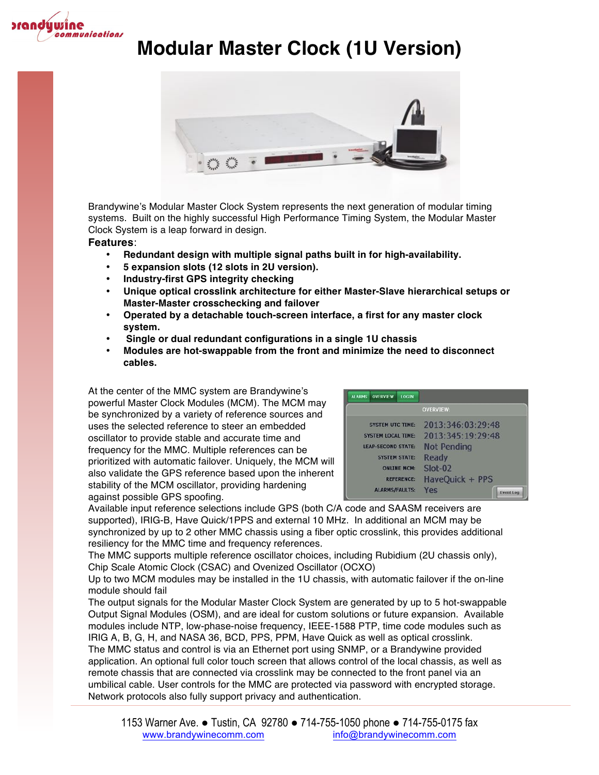



Brandywine's Modular Master Clock System represents the next generation of modular timing systems. Built on the highly successful High Performance Timing System, the Modular Master Clock System is a leap forward in design.

#### **Features**:

- **Redundant design with multiple signal paths built in for high-availability.**
- **5 expansion slots (12 slots in 2U version).**
- **Industry-first GPS integrity checking**
- **Unique optical crosslink architecture for either Master-Slave hierarchical setups or Master-Master crosschecking and failover**
- **Operated by a detachable touch-screen interface, a first for any master clock system.**
- **Single or dual redundant configurations in a single 1U chassis**
- **Modules are hot-swappable from the front and minimize the need to disconnect cables.**

At the center of the MMC system are Brandywine's powerful Master Clock Modules (MCM). The MCM may be synchronized by a variety of reference sources and uses the selected reference to steer an embedded oscillator to provide stable and accurate time and frequency for the MMC. Multiple references can be prioritized with automatic failover. Uniquely, the MCM will also validate the GPS reference based upon the inherent stability of the MCM oscillator, providing hardening against possible GPS spoofing.

| <b>ALARMS</b>             | <b>OVERVIEW</b>           | <b>LOGIN</b>      |                    |                  |
|---------------------------|---------------------------|-------------------|--------------------|------------------|
|                           |                           |                   | <b>OVERVIEW:</b>   |                  |
|                           | <b>SYSTEM UTC TIME:</b>   |                   | 2013:346:03:29:48  |                  |
|                           | <b>SYSTEM LOCAL TIME:</b> |                   | 2013:345:19:29:48  |                  |
| <b>LEAP-SECOND STATE:</b> |                           |                   | <b>Not Pending</b> |                  |
|                           | <b>SYSTEM STATE:</b>      |                   | <b>Ready</b>       |                  |
| <b>ONLINE MCM:</b>        |                           |                   | Slot-02            |                  |
|                           |                           | <b>REFERENCE:</b> | HaveOuick + PPS    |                  |
|                           | <b>ALARMS/FAULTS:</b>     |                   | Yes                | <b>Event Log</b> |

Available input reference selections include GPS (both C/A code and SAASM receivers are supported), IRIG-B, Have Quick/1PPS and external 10 MHz. In additional an MCM may be synchronized by up to 2 other MMC chassis using a fiber optic crosslink, this provides additional resiliency for the MMC time and frequency references.

The MMC supports multiple reference oscillator choices, including Rubidium (2U chassis only), Chip Scale Atomic Clock (CSAC) and Ovenized Oscillator (OCXO)

Up to two MCM modules may be installed in the 1U chassis, with automatic failover if the on-line module should fail

The output signals for the Modular Master Clock System are generated by up to 5 hot-swappable Output Signal Modules (OSM), and are ideal for custom solutions or future expansion. Available modules include NTP, low-phase-noise frequency, IEEE-1588 PTP, time code modules such as IRIG A, B, G, H, and NASA 36, BCD, PPS, PPM, Have Quick as well as optical crosslink. The MMC status and control is via an Ethernet port using SNMP, or a Brandywine provided application. An optional full color touch screen that allows control of the local chassis, as well as remote chassis that are connected via crosslink may be connected to the front panel via an umbilical cable. User controls for the MMC are protected via password with encrypted storage. Network protocols also fully support privacy and authentication.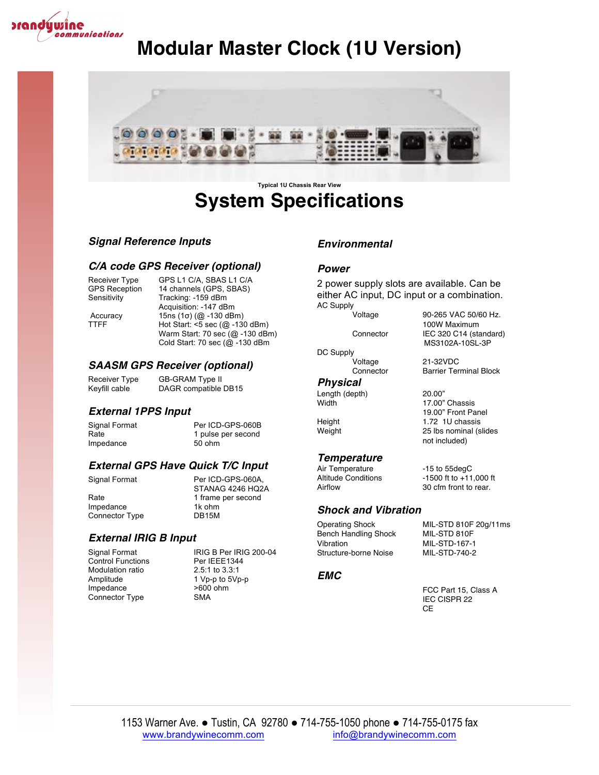



# **System Specifications**

#### *Signal Reference Inputs*

#### *C/A code GPS Receiver (optional)*

Receiver Type GPS L1 C/A, SBAS L1 C/A<br>GPS Reception 14 channels (GPS, SBAS) 14 channels (GPS, SBAS) Sensitivity Tracking: -159 dBm Acquisition: -147 dBm Accuracy 15ns (1σ) (@ -130 dBm) TTFF Hot Start: <5 sec (@ -130 dBm) Warm Start: 70 sec (@ -130 dBm) Cold Start: 70 sec (@ -130 dBm

#### *SAASM GPS Receiver (optional)*

Receiver Type GB-GRAM Type II<br>Keyfill cable DAGR compatible DAGR compatible DB15

#### *External 1PPS Input*

Signal Format Per ICD-GPS-060B Rate 1 pulse per second Impedance 50 ohm

#### *External GPS Have Quick T/C Input*

Connector Type

Signal Format Per ICD-GPS-060A, STANAG 4246 HQ2A Rate 1 frame per second Impedance 1k ohm<br>Connector Type 15 DB15M

### *External IRIG B Input*

Control Functions Modulation ratio 2.5:1 to 3.3:1 Impedance >600 ohm<br>Connector Type > SMA Connector Type

Signal Format **IRIG B Per IRIG 200-04**<br>
Control Functions Per IEEE1344 Amplitude 1 Vp-p to 5Vp-p

#### *Environmental*

#### *Power*

2 power supply slots are available. Can be either AC input, DC input or a combination. AC Supply

Voltage 90-265 VAC 50/60 Hz.

DC Supply

#### *Physical*

Length (depth) 20.00"

#### *Temperature*

Air Temperature -15 to 55degC<br>Altitude Conditions -1500 ft to +11 Airflow 30 cfm front to rear.

#### *Shock and Vibration*

Operating Shock MIL-STD 810F 20g/11ms Bench Handling Shock MIL-STD 810F<br>Vibration MIL-STD-167-1 Structure-borne Noise MIL-STD-740-2

#### *EMC*

FCC Part 15, Class A IEC CISPR 22 CE

MIL-STD-167-1

#### 100W Maximum Connector IEC 320 C14 (standard) MS3102A-10SL-3P Voltage 21-32VDC

Connector Barrier Terminal Block

17.00" Chassis 19.00" Front Panel Height 1.72 1U chassis Weight 25 lbs nominal (slides not included)

 $-1500$  ft to  $+11,000$  ft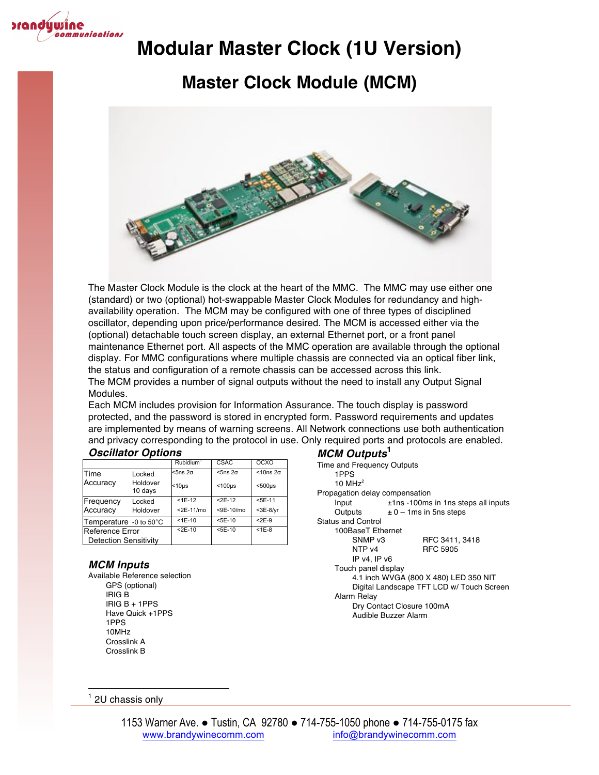

## **Master Clock Module (MCM)**



The Master Clock Module is the clock at the heart of the MMC. The MMC may use either one (standard) or two (optional) hot-swappable Master Clock Modules for redundancy and highavailability operation. The MCM may be configured with one of three types of disciplined oscillator, depending upon price/performance desired. The MCM is accessed either via the (optional) detachable touch screen display, an external Ethernet port, or a front panel maintenance Ethernet port. All aspects of the MMC operation are available through the optional display. For MMC configurations where multiple chassis are connected via an optical fiber link, the status and configuration of a remote chassis can be accessed across this link. The MCM provides a number of signal outputs without the need to install any Output Signal Modules.

Each MCM includes provision for Information Assurance. The touch display is password protected, and the password is stored in encrypted form. Password requirements and updates are implemented by means of warning screens. All Network connections use both authentication and privacy corresponding to the protocol in use. Only required ports and protocols are enabled.

| <b>Oscillator Options</b> |  |
|---------------------------|--|
|---------------------------|--|

| <b>Oscillator Options</b>    |                     |                       |                 |                    |
|------------------------------|---------------------|-----------------------|-----------------|--------------------|
|                              |                     | Rubidium <sup>1</sup> | CSAC            | <b>OCXO</b>        |
| Time                         | Locked              | $<$ 5ns $2\sigma$     | $5ns2\sigma$    | $<$ 10ns $2\sigma$ |
| Accuracy                     | Holdover<br>10 days | $<$ 10 $\mu$ s        | $<$ 100 $\mu$ s | $500\mu s$         |
| Frequency                    | Locked              | $<$ 1E-12             | $<$ 2E-12       | $<$ 5E-11          |
| Accuracy                     | Holdover            | $<$ 2E-11/mo          | <9E-10/mo       | $<$ 3E-8/yr        |
| Temperature -0 to 50°C       |                     | $<$ 1E-10             | $5E-10$         | $< 2E-9$           |
| Reference Error              |                     | $2E-10$               | $5E-10$         | $<$ 1 $E$ -8       |
| <b>Detection Sensitivity</b> |                     |                       |                 |                    |

#### *MCM Inputs*

Available Reference selection GPS (optional) IRIG B IRIG B + 1PPS Have Quick +1PPS 1PPS 10MHz Crosslink A Crosslink B

#### *MCM Outputs***<sup>1</sup>**

| Time and Frequency Outputs<br>1PPS        |                                        |  |  |  |
|-------------------------------------------|----------------------------------------|--|--|--|
| 10 MH $z^2$                               |                                        |  |  |  |
| Propagation delay compensation            |                                        |  |  |  |
| Input                                     | $±1$ ns -100ms in 1ns steps all inputs |  |  |  |
| Outputs                                   | $\pm$ 0 – 1 ms in 5 ns steps           |  |  |  |
| <b>Status and Control</b>                 |                                        |  |  |  |
| 100BaseT Ethernet                         |                                        |  |  |  |
| SNMP v3                                   | RFC 3411, 3418                         |  |  |  |
| NTP <sub>v4</sub>                         | <b>RFC 5905</b>                        |  |  |  |
| IP v4. IP v6                              |                                        |  |  |  |
| Touch panel display                       |                                        |  |  |  |
| 4.1 inch WVGA (800 X 480) LED 350 NIT     |                                        |  |  |  |
| Digital Landscape TFT LCD w/ Touch Screen |                                        |  |  |  |
| Alarm Relay                               |                                        |  |  |  |
| Dry Contact Closure 100mA                 |                                        |  |  |  |
|                                           | Audible Buzzer Alarm                   |  |  |  |
|                                           |                                        |  |  |  |

  $1$  2U chassis only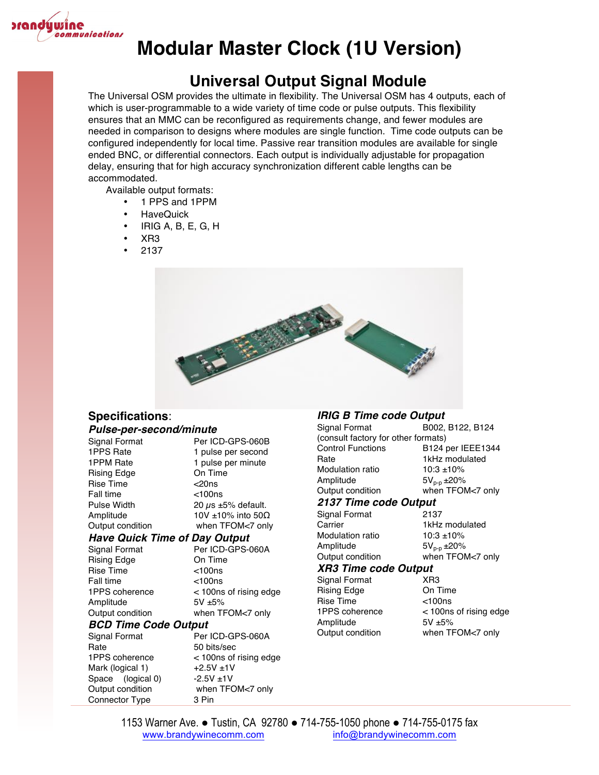

### **Universal Output Signal Module**

The Universal OSM provides the ultimate in flexibility. The Universal OSM has 4 outputs, each of which is user-programmable to a wide variety of time code or pulse outputs. This flexibility ensures that an MMC can be reconfigured as requirements change, and fewer modules are needed in comparison to designs where modules are single function. Time code outputs can be configured independently for local time. Passive rear transition modules are available for single ended BNC, or differential connectors. Each output is individually adjustable for propagation delay, ensuring that for high accuracy synchronization different cable lengths can be accommodated.

Available output formats:

- 1 PPS and 1PPM
- HaveQuick
- IRIG A, B, E, G, H
- XR3
- 2137



## **Specifications**:

#### *Pulse-per-second/minute*

Connector Type 3 Pin

| Signal Format                        | Per ICD-GPS-060B               |  |  |  |
|--------------------------------------|--------------------------------|--|--|--|
| 1PPS Rate                            | 1 pulse per second             |  |  |  |
| 1PPM Rate                            | 1 pulse per minute             |  |  |  |
| Rising Edge                          | On Time                        |  |  |  |
| <b>Rise Time</b>                     | $<$ 20ns                       |  |  |  |
| <b>Fall time</b>                     | $<$ 100 $ns$                   |  |  |  |
| Pulse Width                          | 20 $\mu$ s ±5% default.        |  |  |  |
| Amplitude                            | 10V $\pm$ 10% into 50 $\Omega$ |  |  |  |
| Output condition                     | when TFOM<7 only               |  |  |  |
| <b>Have Quick Time of Day Output</b> |                                |  |  |  |
| Signal Format                        | Per ICD-GPS-060A               |  |  |  |
| Rising Edge                          | On Time                        |  |  |  |
| <b>Rise Time</b>                     | $<$ 100 $ns$                   |  |  |  |
| <b>Fall time</b>                     | $<$ 100 $ns$                   |  |  |  |
| 1PPS coherence                       | < 100ns of rising edge         |  |  |  |
| Amplitude                            | $5V + 5%$                      |  |  |  |
| Output condition                     | when TFOM<7 only               |  |  |  |
| <b>BCD Time Code Output</b>          |                                |  |  |  |
| Signal Format                        | Per ICD-GPS-060A               |  |  |  |
| Rate                                 | 50 bits/sec                    |  |  |  |
| 1PPS coherence                       | < 100ns of rising edge         |  |  |  |
| Mark (logical 1)                     | $+2.5V + 1V$                   |  |  |  |
| Space (logical 0)                    | $-2.5V + 1V$                   |  |  |  |
| Output condition                     | when TFOM<7 only               |  |  |  |

#### *IRIG B Time code Output*

| Signal Format                       | B002, B122, B124  |  |  |
|-------------------------------------|-------------------|--|--|
| (consult factory for other formats) |                   |  |  |
| <b>Control Functions</b>            | B124 per IEEE1344 |  |  |
| Rate                                | 1kHz modulated    |  |  |
| Modulation ratio                    | $10:3 + 10\%$     |  |  |
| Amplitude                           | $5V_{p-p}$ ±20%   |  |  |
| Output condition                    | when TFOM<7 only  |  |  |
| 2137 Time code Output               |                   |  |  |
| Signal Format                       | 2137              |  |  |
| Carrier                             | 1kHz modulated    |  |  |
| Modulation ratio                    | $10:3 + 10%$      |  |  |
| Amplitude                           | $5V_{p-p}$ ±20%   |  |  |
| Output condition                    | when TFOM<7 only  |  |  |
| <b>XR3 Time code Output</b>         |                   |  |  |
| Signal Format                       | XR <sub>3</sub>   |  |  |

Rising Edge On Time Rise Time <100ns Amplitude 5V ±5%

1PPS coherence < 100ns of rising edge Output condition when TFOM<7 only